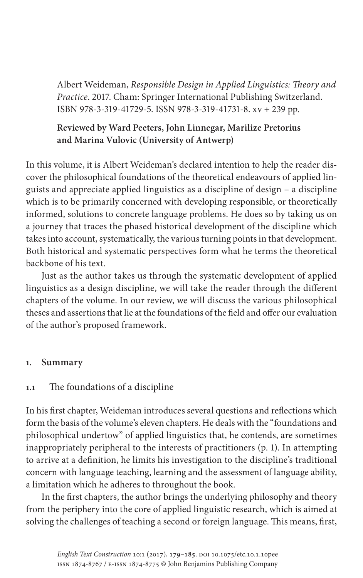Albert Weideman, *Responsible Design in Applied Linguistics: Theory and Practice*. 2017. Cham: Springer International Publishing Switzerland. ISBN 978-3-319-41729-5. ISSN 978-3-319-41731-8. xv + 239 pp.

# **Reviewed by Ward Peeters, John Linnegar, Marilize Pretorius and Marina Vulovic (University of Antwerp)**

In this volume, it is Albert Weideman's declared intention to help the reader discover the philosophical foundations of the theoretical endeavours of applied linguists and appreciate applied linguistics as a discipline of design – a discipline which is to be primarily concerned with developing responsible, or theoretically informed, solutions to concrete language problems. He does so by taking us on a journey that traces the phased historical development of the discipline which takes into account, systematically, the various turning points in that development. Both historical and systematic perspectives form what he terms the theoretical backbone of his text.

Just as the author takes us through the systematic development of applied linguistics as a design discipline, we will take the reader through the different chapters of the volume. In our review, we will discuss the various philosophical theses and assertions that lie at the foundations of the field and offer our evaluation of the author's proposed framework.

## **1. Summary**

## **1.1** The foundations of a discipline

In his first chapter, Weideman introduces several questions and reflections which form the basis of the volume's eleven chapters. He deals with the "foundations and philosophical undertow" of applied linguistics that, he contends, are sometimes inappropriately peripheral to the interests of practitioners (p. 1). In attempting to arrive at a definition, he limits his investigation to the discipline's traditional concern with language teaching, learning and the assessment of language ability, a limitation which he adheres to throughout the book.

In the first chapters, the author brings the underlying philosophy and theory from the periphery into the core of applied linguistic research, which is aimed at solving the challenges of teaching a second or foreign language. This means, first,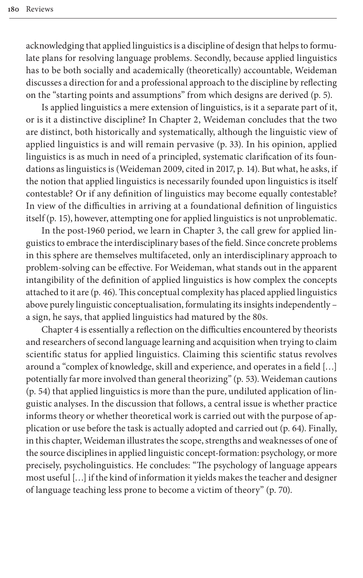acknowledging that applied linguistics is a discipline of design that helps to formulate plans for resolving language problems. Secondly, because applied linguistics has to be both socially and academically (theoretically) accountable, Weideman discusses a direction for and a professional approach to the discipline by reflecting on the "starting points and assumptions" from which designs are derived (p. 5).

Is applied linguistics a mere extension of linguistics, is it a separate part of it, or is it a distinctive discipline? In Chapter 2, Weideman concludes that the two are distinct, both [historically and](#page-6-0) systematically, although the linguistic view of applied linguistics is and will remain pervasive (p. 33). In his opinion, applied linguistics is as much in need of a principled, systematic clarification of its foundations as linguistics is (Weideman 2009, cited in 2017, p. 14). But what, he asks, if the notion that applied linguistics is necessarily founded upon linguistics is itself contestable? Or if any definition of linguistics may become equally contestable? In view of the difficulties in arriving at a foundational definition of linguistics itself (p. 15), however, attempting one for applied linguistics is not unproblematic.

In the post-1960 period, we learn in Chapter 3, the call grew for applied linguistics to embrace the interdisciplinary bases of the field. Since concrete problems in this sphere are themselves multifaceted, only an interdisciplinary approach to problem-solving can be effective. For Weideman, what stands out in the apparent intangibility of the definition of applied linguistics is how complex the concepts attached to it are (p. 46). This conceptual complexity has placed applied linguistics above purely linguistic conceptualisation, formulating its insights independently – a sign, he says, that applied linguistics had matured by the 80s.

Chapter 4 is essentially a reflection on the difficulties encountered by theorists and researchers of second language learning and acquisition when trying to claim scientific status for applied linguistics. Claiming this scientific status revolves around a "complex of knowledge, skill and experience, and operates in a field […] potentially far more involved than general theorizing" (p. 53). Weideman cautions (p. 54) that applied linguistics is more than the pure, undiluted application of linguistic analyses. In the discussion that follows, a central issue is whether practice informs theory or whether theoretical work is carried out with the purpose of application or use before the task is actually adopted and carried out (p. 64). Finally, in this chapter, Weideman illustrates the scope, strengths and weaknesses of one of the source disciplines in applied linguistic concept-formation: psychology, or more precisely, psycholinguistics. He concludes: "The psychology of language appears most useful […] if the kind of information it yields makes the teacher and designer of language teaching less prone to become a victim of theory" (p. 70).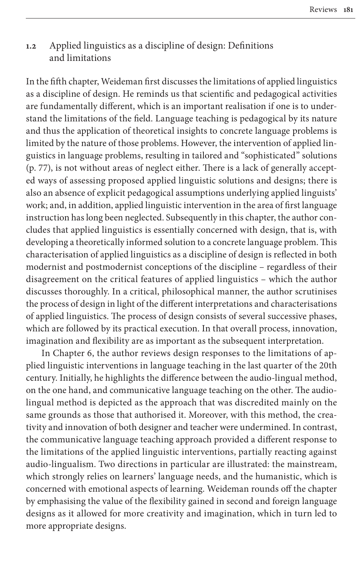# **1.2** Applied linguistics as a discipline of design: Definitions and limitations

In the fifth chapter, Weideman first discusses the limitations of applied linguistics as a discipline of design. He reminds us that scientific and pedagogical activities are fundamentally different, which is an important realisation if one is to understand the limitations of the field. Language teaching is pedagogical by its nature and thus the application of theoretical insights to concrete language problems is limited by the nature of those problems. However, the intervention of applied linguistics in language problems, resulting in tailored and "sophisticated" solutions (p. 77), is not without areas of neglect either. There is a lack of generally accepted ways of assessing proposed applied linguistic solutions and designs; there is also an absence of explicit pedagogical assumptions underlying applied linguists' work; and, in addition, applied linguistic intervention in the area of first language instruction has long been neglected. Subsequently in this chapter, the author concludes that applied linguistics is essentially concerned with design, that is, with developing a theoretically informed solution to a concrete language problem. This characterisation of applied linguistics as a discipline of design is reflected in both modernist and postmodernist conceptions of the discipline – regardless of their disagreement on the critical features of applied linguistics – which the author discusses thoroughly. In a critical, philosophical manner, the author scrutinises the process of design in light of the different interpretations and characterisations of applied linguistics. The process of design consists of several successive phases, which are followed by its practical execution. In that overall process, innovation, imagination and flexibility are as important as the subsequent interpretation.

In Chapter 6, the author reviews design responses to the limitations of applied linguistic interventions in language teaching in the last quarter of the 20th century. Initially, he highlights the difference between the audio-lingual method, on the one hand, and communicative language teaching on the other. The audiolingual method is depicted as the approach that was discredited mainly on the same grounds as those that authorised it. Moreover, with this method, the creativity and innovation of both designer and teacher were undermined. In contrast, the communicative language teaching approach provided a different response to the limitations of the applied linguistic interventions, partially reacting against audio-lingualism. Two directions in particular are illustrated: the mainstream, which strongly relies on learners' language needs, and the humanistic, which is concerned with emotional aspects of learning. Weideman rounds off the chapter by emphasising the value of the flexibility gained in second and foreign language designs as it allowed for more creativity and imagination, which in turn led to more appropriate designs.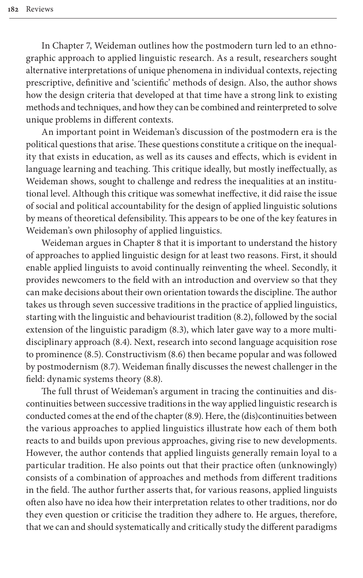In Chapter 7, Weideman outlines how the postmodern turn led to an ethnographic approach to applied linguistic research. As a result, researchers sought alternative interpretations of unique phenomena in individual contexts, rejecting prescriptive, definitive and 'scientific' methods of design. Also, the author shows how the design criteria that developed at that time have a strong link to existing methods and techniques, and how they can be combined and reinterpreted to solve unique problems in different contexts.

An important point in Weideman's discussion of the postmodern era is the political questions that arise. These questions constitute a critique on the inequality that exists in education, as well as its causes and effects, which is evident in language learning and teaching. This critique ideally, but mostly ineffectually, as Weideman shows, sought to challenge and redress the inequalities at an institutional level. Although this critique was somewhat ineffective, it did raise the issue of social and political accountability for the design of applied linguistic solutions by means of theoretical defensibility. This appears to be one of the key features in Weideman's own philosophy of applied linguistics.

Weideman argues in Chapter 8 that it is important to understand the history of approaches to applied linguistic design for at least two reasons. First, it should enable applied linguists to avoid continually reinventing the wheel. Secondly, it provides newcomers to the field with an introduction and overview so that they can make decisions about their own orientation towards the discipline. The author takes us through seven successive traditions in the practice of applied linguistics, starting with the linguistic and behaviourist tradition (8.2), followed by the social extension of the linguistic paradigm (8.3), which later gave way to a more multidisciplinary approach (8.4). Next, research into second language acquisition rose to prominence (8.5). Constructivism (8.6) then became popular and was followed by postmodernism (8.7). Weideman finally discusses the newest challenger in the field: dynamic systems theory (8.8).

The full thrust of Weideman's argument in tracing the continuities and discontinuities between successive traditions in the way applied linguistic research is conducted comes at the end of the chapter (8.9). Here, the (dis)continuities between the various approaches to applied linguistics illustrate how each of them both reacts to and builds upon previous approaches, giving rise to new developments. However, the author contends that applied linguists generally remain loyal to a particular tradition. He also points out that their practice often (unknowingly) consists of a combination of approaches and methods from different traditions in the field. The author further asserts that, for various reasons, applied linguists often also have no idea how their interpretation relates to other traditions, nor do they even question or criticise the tradition they adhere to. He argues, therefore, that we can and should systematically and critically study the different paradigms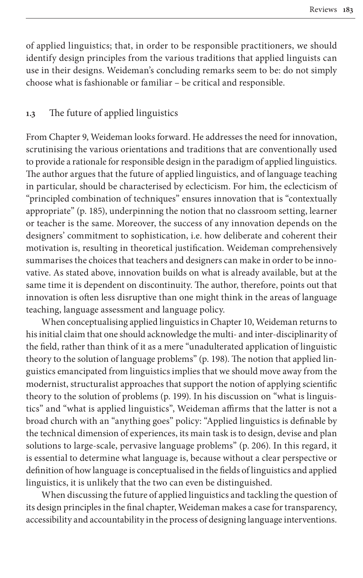of applied linguistics; that, in order to be responsible practitioners, we should identify design principles from the various traditions that applied linguists can use in their designs. Weideman's concluding remarks seem to be: do not simply choose what is fashionable or familiar – be critical and responsible.

## **1.3** The future of applied linguistics

From Chapter 9, Weideman looks forward. He addresses the need for innovation, scrutinising the various orientations and traditions that are conventionally used to provide a rationale for responsible design in the paradigm of applied linguistics. The author argues that the future of applied linguistics, and of language teaching in particular, should be characterised by eclecticism. For him, the eclecticism of "principled combination of techniques" ensures innovation that is "contextually appropriate" (p. 185), underpinning the notion that no classroom setting, learner or teacher is the same. Moreover, the success of any innovation depends on the designers' commitment to sophistication, i.e. how deliberate and coherent their motivation is, resulting in theoretical justification. Weideman comprehensively summarises the choices that teachers and designers can make in order to be innovative. As stated above, innovation builds on what is already available, but at the same time it is dependent on discontinuity. The author, therefore, points out that innovation is often less disruptive than one might think in the areas of language teaching, language assessment and language policy.

When conceptualising applied linguistics in Chapter 10, Weideman returns to his initial claim that one should acknowledge the multi- and inter-disciplinarity of the field, rather than think of it as a mere "unadulterated application of linguistic theory to the solution of language problems" (p. 198). The notion that applied linguistics emancipated from linguistics implies that we should move away from the modernist, structuralist approaches that support the notion of applying scientific theory to the solution of problems (p. 199). In his discussion on "what is linguistics" and "what is applied linguistics", Weideman affirms that the latter is not a broad church with an "anything goes" policy: "Applied linguistics is definable by the technical dimension of experiences, its main task is to design, devise and plan solutions to large-scale, pervasive language problems" (p. 206). In this regard, it is essential to determine what language is, because without a clear perspective or definition of how language is conceptualised in the fields of linguistics and applied linguistics, it is unlikely that the two can even be distinguished.

When discussing the future of applied linguistics and tackling the question of its design principles in the final chapter, Weideman makes a case for transparency, accessibility and accountability in the process of designing language interventions.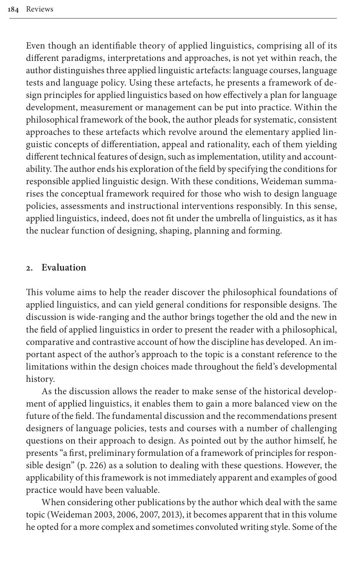Even though an identifiable theory of applied linguistics, comprising all of its different paradigms, interpretations and approaches, is not yet within reach, the author distinguishes three applied linguistic artefacts: language courses, language tests and language policy. Using these artefacts, he presents a framework of design principles for applied linguistics based on how effectively a plan for language development, measurement or management can be put into practice. Within the philosophical framework of the book, the author pleads for systematic, consistent approaches to these artefacts which revolve around the elementary applied linguistic concepts of differentiation, appeal and rationality, each of them yielding different technical features of design, such as implementation, utility and accountability. The author ends his exploration of the field by specifying the conditions for responsible applied linguistic design. With these conditions, Weideman summarises the conceptual framework required for those who wish to design language policies, assessments and instructional interventions responsibly. In this sense, applied linguistics, indeed, does not fit under the umbrella of linguistics, as it has the nuclear function of designing, shaping, planning and forming.

#### **2. Evaluation**

This volume aims to help the reader discover the philosophical foundations of applied linguistics, and can yield general conditions for responsible designs. The discussion is wide-ranging and the author brings together the old and the new in the field of applied linguistics in order to present the reader with a philosophical, comparative and contrastive account of how the discipline has developed. An important aspect of the author's approach to the topic is a constant reference to the limitations within the design choices made throughout the field's developmental history.

As the discussion allows the reader to make sense of the historical development of applied linguistics, it enables them to gain a more balanced view on the future of the field. The fundamental discussion and the recommendations present designers of language policies, tests and courses with a number of challenging questions on their approach to design. As pointed out by the author himself, he presents "a first, preliminary formulation of a framework of principles for responsible design" (p. 226) as a solution to dealing with these questions. However, the [applicability of t](#page-6-1)[his fra](#page-6-2)[mewo](#page-6-3)[rk is](#page-6-4) not immediately apparent and examples of good practice would have been valuable.

When considering other publications by the author which deal with the same topic (Weideman 2003, 2006, 2007, 2013), it becomes apparent that in this volume he opted for a more complex and sometimes convoluted writing style. Some of the